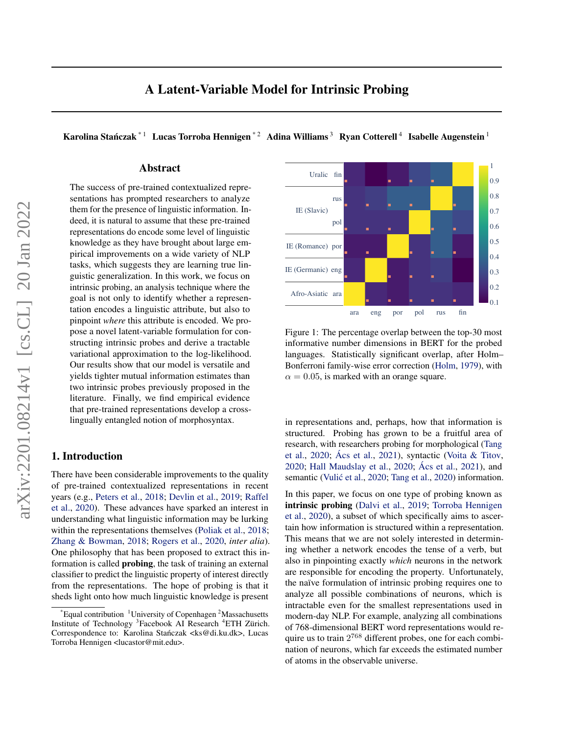<span id="page-0-0"></span>Karolina Stańczak $^{\ast\,1}\;$  Lucas Torroba Hennigen $^{\ast\,2}\;$  Adina Williams  $^3\;$  Ryan Cotterell  $^4\;$  Isabelle Augenstein  $^1$ 

# Abstract

The success of pre-trained contextualized representations has prompted researchers to analyze them for the presence of linguistic information. Indeed, it is natural to assume that these pre-trained representations do encode some level of linguistic knowledge as they have brought about large empirical improvements on a wide variety of NLP tasks, which suggests they are learning true linguistic generalization. In this work, we focus on intrinsic probing, an analysis technique where the goal is not only to identify whether a representation encodes a linguistic attribute, but also to pinpoint *where* this attribute is encoded. We propose a novel latent-variable formulation for constructing intrinsic probes and derive a tractable variational approximation to the log-likelihood. Our results show that our model is versatile and yields tighter mutual information estimates than two intrinsic probes previously proposed in the literature. Finally, we find empirical evidence that pre-trained representations develop a crosslingually entangled notion of morphosyntax.

# 1. Introduction

There have been considerable improvements to the quality of pre-trained contextualized representations in recent years (e.g., [Peters et al.,](#page-11-0) [2018;](#page-11-0) [Devlin et al.,](#page-8-0) [2019;](#page-8-0) [Raffel](#page-11-0) [et al.,](#page-11-0) [2020\)](#page-11-0). These advances have sparked an interest in understanding what linguistic information may be lurking within the representations themselves [\(Poliak et al.,](#page-11-0) [2018;](#page-11-0) [Zhang & Bowman,](#page-12-0) [2018;](#page-12-0) [Rogers et al.,](#page-11-0) [2020,](#page-11-0) *inter alia*). One philosophy that has been proposed to extract this information is called probing, the task of training an external classifier to predict the linguistic property of interest directly from the representations. The hope of probing is that it sheds light onto how much linguistic knowledge is present



Figure 1: The percentage overlap between the top-30 most informative number dimensions in BERT for the probed languages. Statistically significant overlap, after Holm– Bonferroni family-wise error correction [\(Holm,](#page-9-0) [1979\)](#page-9-0), with  $\alpha = 0.05$ , is marked with an orange square.

in representations and, perhaps, how that information is structured. Probing has grown to be a fruitful area of research, with researchers probing for morphological [\(Tang](#page-11-0) [et al.,](#page-11-0) [2020;](#page-11-0) [Ács et al.,](#page-8-0) [2021\)](#page-8-0), syntactic [\(Voita & Titov,](#page-12-0) [2020;](#page-12-0) [Hall Maudslay et al.,](#page-9-0) [2020;](#page-9-0) [Ács et al.,](#page-8-0) [2021\)](#page-8-0), and semantic (Vulić et al., [2020;](#page-12-0) [Tang et al.,](#page-11-0) [2020\)](#page-11-0) information.

In this paper, we focus on one type of probing known as intrinsic probing [\(Dalvi et al.,](#page-8-0) [2019;](#page-8-0) [Torroba Hennigen](#page-11-0) [et al.,](#page-11-0) [2020\)](#page-11-0), a subset of which specifically aims to ascertain how information is structured within a representation. This means that we are not solely interested in determining whether a network encodes the tense of a verb, but also in pinpointing exactly *which* neurons in the network are responsible for encoding the property. Unfortunately, the naïve formulation of intrinsic probing requires one to analyze all possible combinations of neurons, which is intractable even for the smallest representations used in modern-day NLP. For example, analyzing all combinations of 768-dimensional BERT word representations would require us to train  $2^{768}$  different probes, one for each combination of neurons, which far exceeds the estimated number of atoms in the observable universe.

 $E$  Equal contribution <sup>1</sup>University of Copenhagen <sup>2</sup>Massachusetts Institute of Technology <sup>3</sup> Facebook AI Research <sup>4</sup>ETH Zürich. Correspondence to: Karolina Stańczak <ks@di.ku.dk>, Lucas Torroba Hennigen <lucastor@mit.edu>.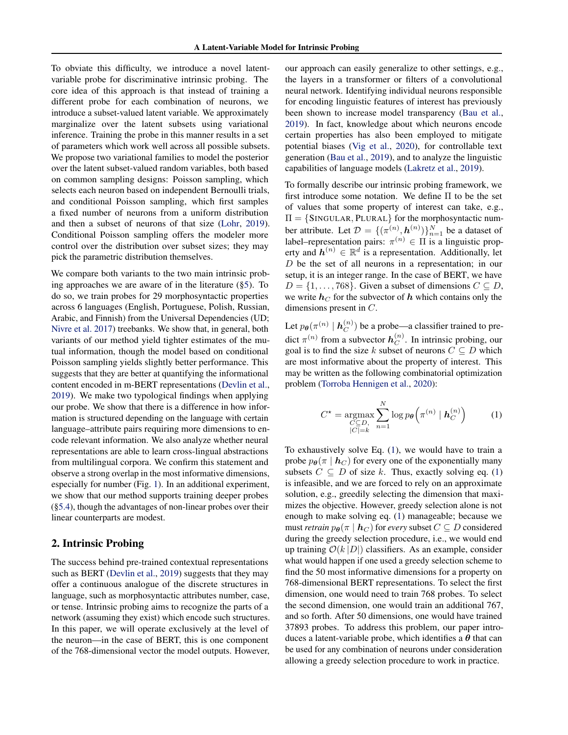<span id="page-1-0"></span>To obviate this difficulty, we introduce a novel latentvariable probe for discriminative intrinsic probing. The core idea of this approach is that instead of training a different probe for each combination of neurons, we introduce a subset-valued latent variable. We approximately marginalize over the latent subsets using variational inference. Training the probe in this manner results in a set of parameters which work well across all possible subsets. We propose two variational families to model the posterior over the latent subset-valued random variables, both based on common sampling designs: Poisson sampling, which selects each neuron based on independent Bernoulli trials, and conditional Poisson sampling, which first samples a fixed number of neurons from a uniform distribution and then a subset of neurons of that size [\(Lohr,](#page-10-0) [2019\)](#page-10-0). Conditional Poisson sampling offers the modeler more control over the distribution over subset sizes; they may pick the parametric distribution themselves.

We compare both variants to the two main intrinsic probing approaches we are aware of in the literature ([§5\)](#page-4-0). To do so, we train probes for 29 morphosyntactic properties across 6 languages (English, Portuguese, Polish, Russian, Arabic, and Finnish) from the Universal Dependencies (UD; [Nivre et al.](#page-10-0) [2017\)](#page-10-0) treebanks. We show that, in general, both variants of our method yield tighter estimates of the mutual information, though the model based on conditional Poisson sampling yields slightly better performance. This suggests that they are better at quantifying the informational content encoded in m-BERT representations [\(Devlin et al.,](#page-8-0) [2019\)](#page-8-0). We make two typological findings when applying our probe. We show that there is a difference in how information is structured depending on the language with certain language–attribute pairs requiring more dimensions to encode relevant information. We also analyze whether neural representations are able to learn cross-lingual abstractions from multilingual corpora. We confirm this statement and observe a strong overlap in the most informative dimensions, especially for number (Fig. [1\)](#page-0-0). In an additional experiment, we show that our method supports training deeper probes ([§5.4\)](#page-6-0), though the advantages of non-linear probes over their linear counterparts are modest.

### 2. Intrinsic Probing

The success behind pre-trained contextual representations such as BERT [\(Devlin et al.,](#page-8-0) [2019\)](#page-8-0) suggests that they may offer a continuous analogue of the discrete structures in language, such as morphosyntactic attributes number, case, or tense. Intrinsic probing aims to recognize the parts of a network (assuming they exist) which encode such structures. In this paper, we will operate exclusively at the level of the neuron—in the case of BERT, this is one component of the 768-dimensional vector the model outputs. However, our approach can easily generalize to other settings, e.g., the layers in a transformer or filters of a convolutional neural network. Identifying individual neurons responsible for encoding linguistic features of interest has previously been shown to increase model transparency [\(Bau et al.,](#page-8-0) [2019\)](#page-8-0). In fact, knowledge about which neurons encode certain properties has also been employed to mitigate potential biases [\(Vig et al.,](#page-12-0) [2020\)](#page-12-0), for controllable text generation [\(Bau et al.,](#page-8-0) [2019\)](#page-8-0), and to analyze the linguistic capabilities of language models [\(Lakretz et al.,](#page-9-0) [2019\)](#page-9-0).

To formally describe our intrinsic probing framework, we first introduce some notation. We define Π to be the set of values that some property of interest can take, e.g.,  $\Pi = \{SINGULAR, PLURAL\}$  for the morphosyntactic number attribute. Let  $D = \{(\pi^{(n)}, \mathbf{h}^{(n)})\}_{n=1}^N$  be a dataset of label–representation pairs:  $\pi^{(n)} \in \Pi$  is a linguistic property and  $h^{(n)} \in \mathbb{R}^d$  is a representation. Additionally, let  $D$  be the set of all neurons in a representation; in our setup, it is an integer range. In the case of BERT, we have  $D = \{1, \ldots, 768\}$ . Given a subset of dimensions  $C \subseteq D$ , we write  $h<sub>C</sub>$  for the subvector of h which contains only the dimensions present in C.

Let  $p_{\bm{\theta}}(\pi^{(n)}\mid\bm{h}_{C}^{(n)})$  $\binom{n}{C}$  be a probe—a classifier trained to predict  $\pi^{(n)}$  from a subvector  $h_C^{(n)}$  $C^{(n)}$ . In intrinsic probing, our goal is to find the size k subset of neurons  $C \subseteq D$  which are most informative about the property of interest. This may be written as the following combinatorial optimization problem [\(Torroba Hennigen et al.,](#page-11-0) [2020\)](#page-11-0):

$$
C^* = \underset{\substack{C \subseteq D, \\ |C| = k}}{\operatorname{argmax}} \sum_{n=1}^{N} \log p_{\theta} \left( \pi^{(n)} \mid \mathbf{h}_{C}^{(n)} \right) \tag{1}
$$

To exhaustively solve Eq. (1), we would have to train a probe  $p_{\theta}(\pi | \mathbf{h}_{C})$  for every one of the exponentially many subsets  $C \subseteq D$  of size k. Thus, exactly solving eq. (1) is infeasible, and we are forced to rely on an approximate solution, e.g., greedily selecting the dimension that maximizes the objective. However, greedy selection alone is not enough to make solving eq. (1) manageable; because we must *retrain*  $p_{\theta}(\pi | \mathbf{h}_C)$  for *every* subset  $C \subseteq D$  considered during the greedy selection procedure, i.e., we would end up training  $\mathcal{O}(k |D|)$  classifiers. As an example, consider what would happen if one used a greedy selection scheme to find the 50 most informative dimensions for a property on 768-dimensional BERT representations. To select the first dimension, one would need to train 768 probes. To select the second dimension, one would train an additional 767, and so forth. After 50 dimensions, one would have trained 37893 probes. To address this problem, our paper introduces a latent-variable probe, which identifies a  $\theta$  that can be used for any combination of neurons under consideration allowing a greedy selection procedure to work in practice.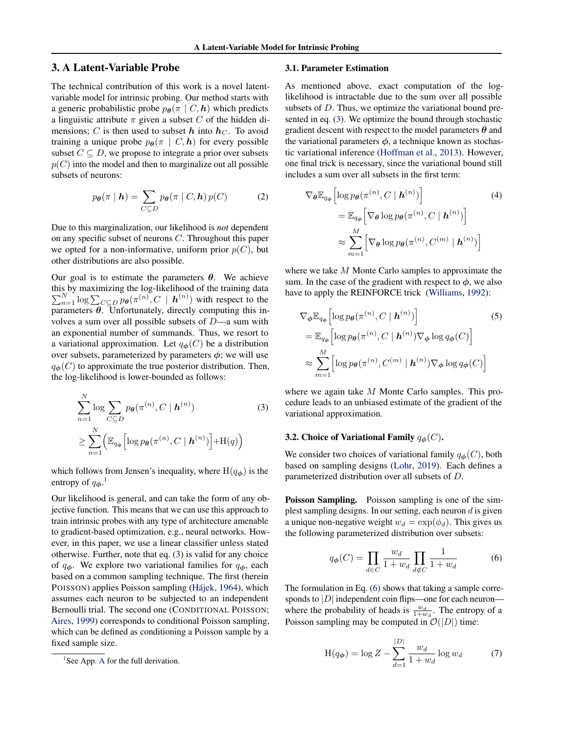### <span id="page-2-0"></span>3. A Latent-Variable Probe

The technical contribution of this work is a novel latentvariable model for intrinsic probing. Our method starts with a generic probabilistic probe  $p_{\theta}(\pi | C, h)$  which predicts a linguistic attribute  $\pi$  given a subset C of the hidden dimensions; C is then used to subset h into  $h<sub>C</sub>$ . To avoid training a unique probe  $p_{\theta}(\pi | C, h)$  for every possible subset  $C \subseteq D$ , we propose to integrate a prior over subsets  $p(C)$  into the model and then to marginalize out all possible subsets of neurons:

$$
p_{\theta}(\pi | \mathbf{h}) = \sum_{C \subseteq D} p_{\theta}(\pi | C, \mathbf{h}) p(C) \tag{2}
$$

Due to this marginalization, our likelihood is *not* dependent on any specific subset of neurons C. Throughout this paper we opted for a non-informative, uniform prior  $p(C)$ , but other distributions are also possible.

Our goal is to estimate the parameters  $\theta$ . We achieve this by maximizing the log-likelihood of the training data  $\sum_{n=1}^{N} \log \sum_{C \subseteq D} p_{\theta}(\pi^{(n)}, C \mid \mathbf{h}^{(n)})$  with respect to the parameters  $\theta$ . Unfortunately, directly computing this involves a sum over all possible subsets of  $D$ —a sum with an exponential number of summands. Thus, we resort to a variational approximation. Let  $q_{\phi}(C)$  be a distribution over subsets, parameterized by parameters  $\phi$ ; we will use  $q_{\phi}(C)$  to approximate the true posterior distribution. Then, the log-likelihood is lower-bounded as follows:

$$
\sum_{n=1}^{N} \log \sum_{C \subseteq D} p_{\theta}(\pi^{(n)}, C \mid \boldsymbol{h}^{(n)})
$$
\n
$$
\geq \sum_{n=1}^{N} \left( \mathbb{E}_{q_{\phi}} \left[ \log p_{\theta}(\pi^{(n)}, C \mid \boldsymbol{h}^{(n)}) \right] + \mathcal{H}(q) \right)
$$
\n(3)

which follows from Jensen's inequality, where  $H(q_{\phi})$  is the entropy of  $q_{\boldsymbol{\phi}}$ .<sup>1</sup>

Our likelihood is general, and can take the form of any objective function. This means that we can use this approach to train intrinsic probes with any type of architecture amenable to gradient-based optimization, e.g., neural networks. However, in this paper, we use a linear classifier unless stated otherwise. Further, note that eq. (3) is valid for any choice of  $q_{\phi}$ . We explore two variational families for  $q_{\phi}$ , each based on a common sampling technique. The first (herein POISSON) applies Poisson sampling [\(Hájek,](#page-9-0) [1964\)](#page-9-0), which assumes each neuron to be subjected to an independent Bernoulli trial. The second one (CONDITIONAL POISSON; [Aires,](#page-8-0) [1999\)](#page-8-0) corresponds to conditional Poisson sampling, which can be defined as conditioning a Poisson sample by a fixed sample size.

#### 3.1. Parameter Estimation

As mentioned above, exact computation of the loglikelihood is intractable due to the sum over all possible subsets of D. Thus, we optimize the variational bound presented in eq. (3). We optimize the bound through stochastic gradient descent with respect to the model parameters  $\theta$  and the variational parameters  $\phi$ , a technique known as stochastic variational inference [\(Hoffman et al.,](#page-9-0) [2013\)](#page-9-0). However, one final trick is necessary, since the variational bound still includes a sum over all subsets in the first term:

$$
\nabla_{\theta} \mathbb{E}_{q_{\phi}} \left[ \log p_{\theta}(\pi^{(n)}, C \mid \boldsymbol{h}^{(n)}) \right]
$$
\n
$$
= \mathbb{E}_{q_{\phi}} \left[ \nabla_{\theta} \log p_{\theta}(\pi^{(n)}, C \mid \boldsymbol{h}^{(n)}) \right]
$$
\n
$$
\approx \sum_{m=1}^{M} \left[ \nabla_{\theta} \log p_{\theta}(\pi^{(n)}, C^{(m)} \mid \boldsymbol{h}^{(n)}) \right]
$$
\n(4)

where we take M Monte Carlo samples to approximate the sum. In the case of the gradient with respect to  $\phi$ , we also have to apply the REINFORCE trick [\(Williams,](#page-12-0) [1992\)](#page-12-0):

$$
\nabla_{\phi} \mathbb{E}_{q_{\phi}} \left[ \log p_{\theta}(\pi^{(n)}, C \mid \boldsymbol{h}^{(n)}) \right]
$$
(5)  
= 
$$
\mathbb{E}_{q_{\phi}} \left[ \log p_{\theta}(\pi^{(n)}, C \mid \boldsymbol{h}^{(n)}) \nabla_{\phi} \log q_{\phi}(C) \right]
$$
  

$$
\approx \sum_{m=1}^{M} \left[ \log p_{\theta}(\pi^{(n)}, C^{(m)} \mid \boldsymbol{h}^{(n)}) \nabla_{\phi} \log q_{\phi}(C) \right]
$$

where we again take M Monte Carlo samples. This procedure leads to an unbiased estimate of the gradient of the variational approximation.

#### 3.2. Choice of Variational Family  $q_{\boldsymbol{\phi}}(C)$ .

We consider two choices of variational family  $q_{\phi}(C)$ , both based on sampling designs [\(Lohr,](#page-10-0) [2019\)](#page-10-0). Each defines a parameterized distribution over all subsets of D.

Poisson Sampling. Poisson sampling is one of the simplest sampling designs. In our setting, each neuron  $d$  is given a unique non-negative weight  $w_d = \exp(\phi_d)$ . This gives us the following parameterized distribution over subsets:

$$
q_{\phi}(C) = \prod_{d \in C} \frac{w_d}{1 + w_d} \prod_{d \notin C} \frac{1}{1 + w_d} \tag{6}
$$

The formulation in Eq. (6) shows that taking a sample corresponds to  $|D|$  independent coin flips—one for each neuron where the probability of heads is  $\frac{w_d}{1+w_d}$ . The entropy of a Poisson sampling may be computed in  $\mathcal{O}(|D|)$  time:

$$
H(q_{\phi}) = \log Z - \sum_{d=1}^{|D|} \frac{w_d}{1 + w_d} \log w_d \tag{7}
$$

<sup>&</sup>lt;sup>1</sup>See [A](#page-13-0)pp. A for the full derivation.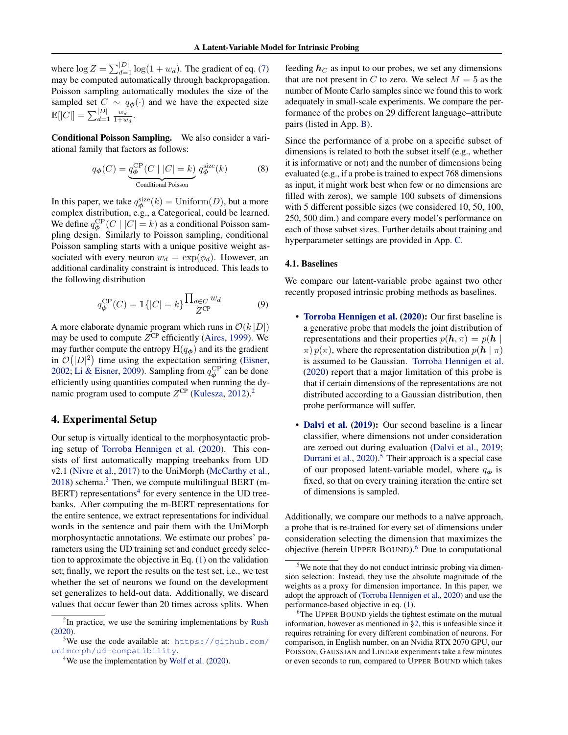<span id="page-3-0"></span>where  $\log Z = \sum_{d=1}^{|D|} \log(1 + w_d)$ . The gradient of eq. [\(7\)](#page-2-0) may be computed automatically through backpropagation. Poisson sampling automatically modules the size of the sampled set  $C \sim q_{\phi}(\cdot)$  and we have the expected size  $\mathbb{E}[|C|] = \sum_{d=1}^{|D|} \frac{w_d}{1+w_d}.$ 

Conditional Poisson Sampling. We also consider a variational family that factors as follows:

$$
q_{\phi}(C) = \underbrace{q_{\phi}^{\rm CP}(C \mid |C| = k)}_{\text{Conditional Poisson}} q_{\phi}^{\rm size}(k)
$$
 (8)

In this paper, we take  $q_{\phi}^{\text{size}}(k) = \text{Uniform}(D)$ , but a more complex distribution, e.g., a Categorical, could be learned. We define  $q_{\phi}^{\text{CP}}(C \mid |C| = k)$  as a conditional Poisson sampling design. Similarly to Poisson sampling, conditional Poisson sampling starts with a unique positive weight associated with every neuron  $w_d = \exp(\phi_d)$ . However, an additional cardinality constraint is introduced. This leads to the following distribution

$$
q_{\phi}^{\rm CP}(C) = \mathbb{1}\{|C| = k\} \frac{\prod_{d \in C} w_d}{Z^{\rm CP}} \tag{9}
$$

A more elaborate dynamic program which runs in  $\mathcal{O}(k |D|)$ may be used to compute  $Z^{CP}$  efficiently [\(Aires,](#page-8-0) [1999\)](#page-8-0). We may further compute the entropy  $H(q_{\phi})$  and its the gradient in  $\mathcal{O}(|D|^2)$  time using the expectation semiring [\(Eisner,](#page-8-0) [2002;](#page-8-0) [Li & Eisner,](#page-10-0) [2009\)](#page-10-0). Sampling from  $q_{\phi}^{\text{CP}}$  can be done efficiently using quantities computed when running the dynamic program used to compute  $Z^{\text{CP}}$  [\(Kulesza,](#page-9-0) [2012\)](#page-9-0).<sup>2</sup>

## 4. Experimental Setup

Our setup is virtually identical to the morphosyntactic probing setup of [Torroba Hennigen et al.](#page-11-0) [\(2020\)](#page-11-0). This consists of first automatically mapping treebanks from UD v2.1 [\(Nivre et al.,](#page-10-0) [2017\)](#page-10-0) to the UniMorph [\(McCarthy et al.,](#page-10-0)  $2018$ ) schema.<sup>3</sup> Then, we compute multilingual BERT (m-BERT) representations<sup>4</sup> for every sentence in the UD treebanks. After computing the m-BERT representations for the entire sentence, we extract representations for individual words in the sentence and pair them with the UniMorph morphosyntactic annotations. We estimate our probes' parameters using the UD training set and conduct greedy selection to approximate the objective in Eq. [\(1\)](#page-1-0) on the validation set; finally, we report the results on the test set, i.e., we test whether the set of neurons we found on the development set generalizes to held-out data. Additionally, we discard values that occur fewer than 20 times across splits. When

feeding  $h<sub>C</sub>$  as input to our probes, we set any dimensions that are not present in C to zero. We select  $M = 5$  as the number of Monte Carlo samples since we found this to work adequately in small-scale experiments. We compare the performance of the probes on 29 different language–attribute pairs (listed in App. [B\)](#page-13-0).

Since the performance of a probe on a specific subset of dimensions is related to both the subset itself (e.g., whether it is informative or not) and the number of dimensions being evaluated (e.g., if a probe is trained to expect 768 dimensions as input, it might work best when few or no dimensions are filled with zeros), we sample 100 subsets of dimensions with 5 different possible sizes (we considered 10, 50, 100, 250, 500 dim.) and compare every model's performance on each of those subset sizes. Further details about training and hyperparameter settings are provided in App. [C.](#page-13-0)

#### 4.1. Baselines

We compare our latent-variable probe against two other recently proposed intrinsic probing methods as baselines.

- [Torroba Hennigen et al.](#page-11-0) [\(2020\)](#page-11-0): Our first baseline is a generative probe that models the joint distribution of representations and their properties  $p(h, \pi) = p(h)$  $\pi$ )  $p(\pi)$ , where the representation distribution  $p(\mathbf{h} | \pi)$ is assumed to be Gaussian. [Torroba Hennigen et al.](#page-11-0) [\(2020\)](#page-11-0) report that a major limitation of this probe is that if certain dimensions of the representations are not distributed according to a Gaussian distribution, then probe performance will suffer.
- [Dalvi et al.](#page-8-0) [\(2019\)](#page-8-0): Our second baseline is a linear classifier, where dimensions not under consideration are zeroed out during evaluation [\(Dalvi et al.,](#page-8-0) [2019;](#page-8-0) [Durrani et al.,](#page-8-0) [2020\)](#page-8-0).<sup>5</sup> Their approach is a special case of our proposed latent-variable model, where  $q_{\phi}$  is fixed, so that on every training iteration the entire set of dimensions is sampled.

Additionally, we compare our methods to a naïve approach, a probe that is re-trained for every set of dimensions under consideration selecting the dimension that maximizes the objective (herein UPPER BOUND).<sup>6</sup> Due to computational

 $2$ In practice, we use the semiring implementations by [Rush](#page-11-0) [\(2020\)](#page-11-0).

<sup>&</sup>lt;sup>3</sup>We use the code available at: [https://github.com/](https://github.com/unimorph/ud-compatibility) [unimorph/ud-compatibility](https://github.com/unimorph/ud-compatibility).

 $4$ We use the implementation by [Wolf et al.](#page-12-0) [\(2020\)](#page-12-0).

 $5$ We note that they do not conduct intrinsic probing via dimension selection: Instead, they use the absolute magnitude of the weights as a proxy for dimension importance. In this paper, we adopt the approach of [\(Torroba Hennigen et al.,](#page-11-0) [2020\)](#page-11-0) and use the performance-based objective in eq. [\(1\)](#page-1-0).

<sup>&</sup>lt;sup>6</sup>The UPPER BOUND yields the tightest estimate on the mutual information, however as mentioned in [§2,](#page-1-0) this is unfeasible since it requires retraining for every different combination of neurons. For comparison, in English number, on an Nvidia RTX 2070 GPU, our POISSON, GAUSSIAN and LINEAR experiments take a few minutes or even seconds to run, compared to UPPER BOUND which takes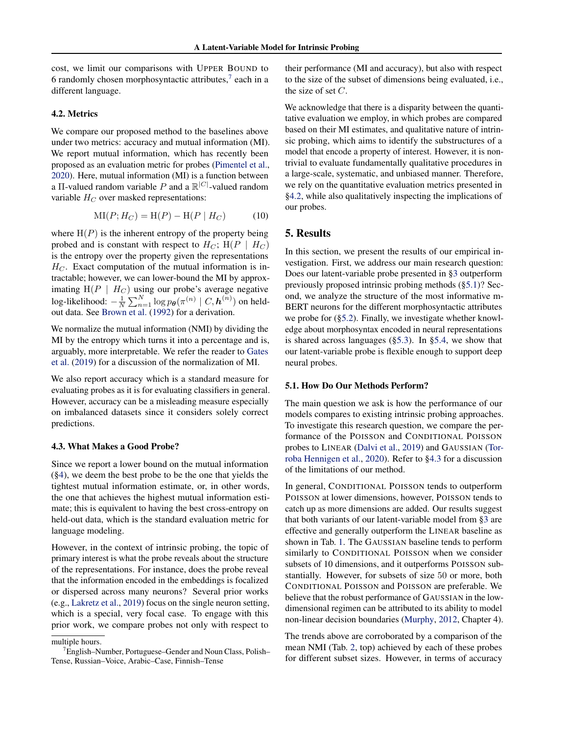<span id="page-4-0"></span>cost, we limit our comparisons with UPPER BOUND to 6 randomly chosen morphosyntactic attributes,<sup>7</sup> each in a different language.

### 4.2. Metrics

We compare our proposed method to the baselines above under two metrics: accuracy and mutual information (MI). We report mutual information, which has recently been proposed as an evaluation metric for probes [\(Pimentel et al.,](#page-11-0) [2020\)](#page-11-0). Here, mutual information (MI) is a function between a II-valued random variable P and a  $\mathbb{R}^{|C|}$ -valued random variable  $H_C$  over masked representations:

$$
MI(P; H_C) = H(P) - H(P | H_C)
$$
 (10)

where  $H(P)$  is the inherent entropy of the property being probed and is constant with respect to  $H_C$ ; H(P |  $H_C$ ) is the entropy over the property given the representations  $H_C$ . Exact computation of the mutual information is intractable; however, we can lower-bound the MI by approximating  $H(P \mid H_C)$  using our probe's average negative log-likelihood:  $-\frac{1}{N}\sum_{n=1}^N \log p_{\bm{\theta}}(\pi^{(n)}\mid C,\bm{h}^{(n)})$  on heldout data. See [Brown et al.](#page-8-0) [\(1992\)](#page-8-0) for a derivation.

We normalize the mutual information (NMI) by dividing the MI by the entropy which turns it into a percentage and is, arguably, more interpretable. We refer the reader to [Gates](#page-8-0) [et al.](#page-8-0) [\(2019\)](#page-8-0) for a discussion of the normalization of MI.

We also report accuracy which is a standard measure for evaluating probes as it is for evaluating classifiers in general. However, accuracy can be a misleading measure especially on imbalanced datasets since it considers solely correct predictions.

#### 4.3. What Makes a Good Probe?

Since we report a lower bound on the mutual information ([§4\)](#page-3-0), we deem the best probe to be the one that yields the tightest mutual information estimate, or, in other words, the one that achieves the highest mutual information estimate; this is equivalent to having the best cross-entropy on held-out data, which is the standard evaluation metric for language modeling.

However, in the context of intrinsic probing, the topic of primary interest is what the probe reveals about the structure of the representations. For instance, does the probe reveal that the information encoded in the embeddings is focalized or dispersed across many neurons? Several prior works (e.g., [Lakretz et al.,](#page-9-0) [2019\)](#page-9-0) focus on the single neuron setting, which is a special, very focal case. To engage with this prior work, we compare probes not only with respect to

their performance (MI and accuracy), but also with respect to the size of the subset of dimensions being evaluated, i.e., the size of set  $C$ .

We acknowledge that there is a disparity between the quantitative evaluation we employ, in which probes are compared based on their MI estimates, and qualitative nature of intrinsic probing, which aims to identify the substructures of a model that encode a property of interest. However, it is nontrivial to evaluate fundamentally qualitative procedures in a large-scale, systematic, and unbiased manner. Therefore, we rely on the quantitative evaluation metrics presented in §4.2, while also qualitatively inspecting the implications of our probes.

### 5. Results

In this section, we present the results of our empirical investigation. First, we address our main research question: Does our latent-variable probe presented in [§3](#page-2-0) outperform previously proposed intrinsic probing methods (§5.1)? Second, we analyze the structure of the most informative m-BERT neurons for the different morphosyntactic attributes we probe for ([§5.2\)](#page-5-0). Finally, we investigate whether knowledge about morphosyntax encoded in neural representations is shared across languages ([§5.3\)](#page-6-0). In [§5.4,](#page-6-0) we show that our latent-variable probe is flexible enough to support deep neural probes.

#### 5.1. How Do Our Methods Perform?

The main question we ask is how the performance of our models compares to existing intrinsic probing approaches. To investigate this research question, we compare the performance of the POISSON and CONDITIONAL POISSON probes to LINEAR [\(Dalvi et al.,](#page-8-0) [2019\)](#page-8-0) and GAUSSIAN [\(Tor](#page-11-0)[roba Hennigen et al.,](#page-11-0) [2020\)](#page-11-0). Refer to §4.3 for a discussion of the limitations of our method.

In general, CONDITIONAL POISSON tends to outperform POISSON at lower dimensions, however, POISSON tends to catch up as more dimensions are added. Our results suggest that both variants of our latent-variable model from [§3](#page-2-0) are effective and generally outperform the LINEAR baseline as shown in Tab. [1.](#page-5-0) The GAUSSIAN baseline tends to perform similarly to CONDITIONAL POISSON when we consider subsets of 10 dimensions, and it outperforms POISSON substantially. However, for subsets of size 50 or more, both CONDITIONAL POISSON and POISSON are preferable. We believe that the robust performance of GAUSSIAN in the lowdimensional regimen can be attributed to its ability to model non-linear decision boundaries [\(Murphy,](#page-10-0) [2012,](#page-10-0) Chapter 4).

The trends above are corroborated by a comparison of the mean NMI (Tab. [2,](#page-6-0) top) achieved by each of these probes for different subset sizes. However, in terms of accuracy

multiple hours.

<sup>7</sup>English–Number, Portuguese–Gender and Noun Class, Polish– Tense, Russian–Voice, Arabic–Case, Finnish–Tense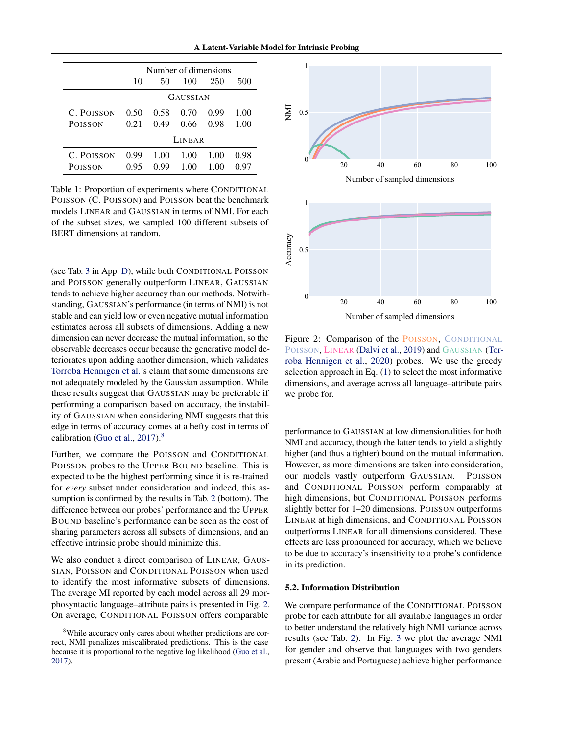A Latent-Variable Model for Intrinsic Probing

<span id="page-5-0"></span>

|                              | Number of dimensions |              |              |              |              |  |  |
|------------------------------|----------------------|--------------|--------------|--------------|--------------|--|--|
|                              | 10                   | 50           | 100          | 250          | 500          |  |  |
|                              | GAUSSIAN             |              |              |              |              |  |  |
| C. POISSON<br><b>POISSON</b> | 0.50<br>0.21         | 0.58<br>0.49 | 0.70<br>0.66 | 0.99<br>0.98 | 1.00<br>1.00 |  |  |
|                              | LINEAR               |              |              |              |              |  |  |
| C. POISSON<br>POISSON        | 0.99<br>0.95         | 1.00<br>0.99 | 1.00<br>1.00 | 1.00<br>1.00 | 0.98<br>0.97 |  |  |

Table 1: Proportion of experiments where CONDITIONAL POISSON (C. POISSON) and POISSON beat the benchmark models LINEAR and GAUSSIAN in terms of NMI. For each of the subset sizes, we sampled 100 different subsets of BERT dimensions at random.

(see Tab. [3](#page-14-0) in App. [D\)](#page-13-0), while both CONDITIONAL POISSON and POISSON generally outperform LINEAR, GAUSSIAN tends to achieve higher accuracy than our methods. Notwithstanding, GAUSSIAN's performance (in terms of NMI) is not stable and can yield low or even negative mutual information estimates across all subsets of dimensions. Adding a new dimension can never decrease the mutual information, so the observable decreases occur because the generative model deteriorates upon adding another dimension, which validates [Torroba Hennigen et al.'](#page-11-0)s claim that some dimensions are not adequately modeled by the Gaussian assumption. While these results suggest that GAUSSIAN may be preferable if performing a comparison based on accuracy, the instability of GAUSSIAN when considering NMI suggests that this edge in terms of accuracy comes at a hefty cost in terms of calibration [\(Guo et al.,](#page-9-0)  $2017$ ).<sup>8</sup>

Further, we compare the POISSON and CONDITIONAL POISSON probes to the UPPER BOUND baseline. This is expected to be the highest performing since it is re-trained for *every* subset under consideration and indeed, this assumption is confirmed by the results in Tab. [2](#page-6-0) (bottom). The difference between our probes' performance and the UPPER BOUND baseline's performance can be seen as the cost of sharing parameters across all subsets of dimensions, and an effective intrinsic probe should minimize this.

We also conduct a direct comparison of LINEAR, GAUS-SIAN, POISSON and CONDITIONAL POISSON when used to identify the most informative subsets of dimensions. The average MI reported by each model across all 29 morphosyntactic language–attribute pairs is presented in Fig. 2. On average, CONDITIONAL POISSON offers comparable



Number of sampled dimensions

Figure 2: Comparison of the POISSON, CONDITIONAL POISSON, LINEAR [\(Dalvi et al.,](#page-8-0) [2019\)](#page-8-0) and GAUSSIAN [\(Tor](#page-11-0)[roba Hennigen et al.,](#page-11-0) [2020\)](#page-11-0) probes. We use the greedy selection approach in Eq. [\(1\)](#page-1-0) to select the most informative dimensions, and average across all language–attribute pairs we probe for.

performance to GAUSSIAN at low dimensionalities for both NMI and accuracy, though the latter tends to yield a slightly higher (and thus a tighter) bound on the mutual information. However, as more dimensions are taken into consideration, our models vastly outperform GAUSSIAN. POISSON and CONDITIONAL POISSON perform comparably at high dimensions, but CONDITIONAL POISSON performs slightly better for 1–20 dimensions. POISSON outperforms LINEAR at high dimensions, and CONDITIONAL POISSON outperforms LINEAR for all dimensions considered. These effects are less pronounced for accuracy, which we believe to be due to accuracy's insensitivity to a probe's confidence in its prediction.

#### 5.2. Information Distribution

We compare performance of the CONDITIONAL POISSON probe for each attribute for all available languages in order to better understand the relatively high NMI variance across results (see Tab. [2\)](#page-6-0). In Fig. [3](#page-6-0) we plot the average NMI for gender and observe that languages with two genders present (Arabic and Portuguese) achieve higher performance

<sup>&</sup>lt;sup>8</sup>While accuracy only cares about whether predictions are correct, NMI penalizes miscalibrated predictions. This is the case because it is proportional to the negative log likelihood [\(Guo et al.,](#page-9-0) [2017\)](#page-9-0).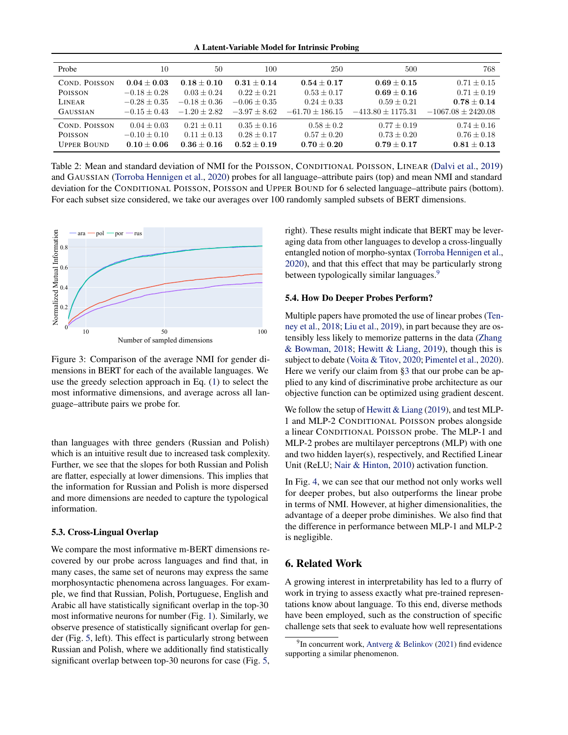A Latent-Variable Model for Intrinsic Probing

<span id="page-6-0"></span>

| Probe              | 10             | 50             | 100              | 250               | 500                 | 768                  |
|--------------------|----------------|----------------|------------------|-------------------|---------------------|----------------------|
| COND. POISSON      | $0.04 + 0.03$  | $0.18 + 0.10$  | $0.31 + 0.14$    | $0.54 + 0.17$     | $0.69 + 0.15$       | $0.71 \pm 0.15$      |
| <b>POISSON</b>     | $-0.18 + 0.28$ | $0.03 + 0.24$  | $0.22 + 0.21$    | $0.53 \pm 0.17$   | $0.69 + 0.16$       | $0.71 \pm 0.19$      |
| LINEAR             | $-0.28 + 0.35$ | $-0.18 + 0.36$ | $-0.06 \pm 0.35$ | $0.24 + 0.33$     | $0.59 + 0.21$       | $0.78 + 0.14$        |
| <b>GAUSSIAN</b>    | $-0.15 + 0.43$ | $-1.20 + 2.82$ | $-3.97 + 8.62$   | $-61.70 + 186.15$ | $-413.80 + 1175.31$ | $-1067.08 + 2420.08$ |
| COND. POISSON      | $0.04 + 0.03$  | $0.21 + 0.11$  | $0.35 \pm 0.16$  | $0.58 + 0.2$      | $0.77 \pm 0.19$     | $0.74 \pm 0.16$      |
| <b>POISSON</b>     | $-0.10 + 0.10$ | $0.11 + 0.13$  | $0.28 + 0.17$    | $0.57 + 0.20$     | $0.73 + 0.20$       | $0.76 + 0.18$        |
| <b>UPPER BOUND</b> | $0.10 + 0.06$  | $0.36 + 0.16$  | $0.52 + 0.19$    | $0.70 + 0.20$     | $0.79 + 0.17$       | $0.81 + 0.13$        |

Table 2: Mean and standard deviation of NMI for the POISSON, CONDITIONAL POISSON, LINEAR [\(Dalvi et al.,](#page-8-0) [2019\)](#page-8-0) and GAUSSIAN [\(Torroba Hennigen et al.,](#page-11-0) [2020\)](#page-11-0) probes for all language–attribute pairs (top) and mean NMI and standard deviation for the CONDITIONAL POISSON, POISSON and UPPER BOUND for 6 selected language–attribute pairs (bottom). For each subset size considered, we take our averages over 100 randomly sampled subsets of BERT dimensions.



Figure 3: Comparison of the average NMI for gender dimensions in BERT for each of the available languages. We use the greedy selection approach in Eq. [\(1\)](#page-1-0) to select the most informative dimensions, and average across all language–attribute pairs we probe for.

than languages with three genders (Russian and Polish) which is an intuitive result due to increased task complexity. Further, we see that the slopes for both Russian and Polish are flatter, especially at lower dimensions. This implies that the information for Russian and Polish is more dispersed and more dimensions are needed to capture the typological information.

#### 5.3. Cross-Lingual Overlap

We compare the most informative m-BERT dimensions recovered by our probe across languages and find that, in many cases, the same set of neurons may express the same morphosyntactic phenomena across languages. For example, we find that Russian, Polish, Portuguese, English and Arabic all have statistically significant overlap in the top-30 most informative neurons for number (Fig. [1\)](#page-0-0). Similarly, we observe presence of statistically significant overlap for gender (Fig. [5,](#page-14-0) left). This effect is particularly strong between Russian and Polish, where we additionally find statistically significant overlap between top-30 neurons for case (Fig. [5,](#page-14-0) right). These results might indicate that BERT may be leveraging data from other languages to develop a cross-lingually entangled notion of morpho-syntax [\(Torroba Hennigen et al.,](#page-11-0) [2020\)](#page-11-0), and that this effect that may be particularly strong between typologically similar languages.<sup>9</sup>

#### 5.4. How Do Deeper Probes Perform?

Multiple papers have promoted the use of linear probes [\(Ten](#page-11-0)[ney et al.,](#page-11-0) [2018;](#page-11-0) [Liu et al.,](#page-10-0) [2019\)](#page-10-0), in part because they are ostensibly less likely to memorize patterns in the data [\(Zhang](#page-12-0) [& Bowman,](#page-12-0) [2018;](#page-12-0) [Hewitt & Liang,](#page-9-0) [2019\)](#page-9-0), though this is subject to debate [\(Voita & Titov,](#page-12-0) [2020;](#page-12-0) [Pimentel et al.,](#page-11-0) [2020\)](#page-11-0). Here we verify our claim from [§3](#page-2-0) that our probe can be applied to any kind of discriminative probe architecture as our objective function can be optimized using gradient descent.

We follow the setup of [Hewitt & Liang](#page-9-0) [\(2019\)](#page-9-0), and test MLP-1 and MLP-2 CONDITIONAL POISSON probes alongside a linear CONDITIONAL POISSON probe. The MLP-1 and MLP-2 probes are multilayer perceptrons (MLP) with one and two hidden layer(s), respectively, and Rectified Linear Unit (ReLU; [Nair & Hinton,](#page-10-0) [2010\)](#page-10-0) activation function.

In Fig. [4,](#page-7-0) we can see that our method not only works well for deeper probes, but also outperforms the linear probe in terms of NMI. However, at higher dimensionalities, the advantage of a deeper probe diminishes. We also find that the difference in performance between MLP-1 and MLP-2 is negligible.

# 6. Related Work

A growing interest in interpretability has led to a flurry of work in trying to assess exactly what pre-trained representations know about language. To this end, diverse methods have been employed, such as the construction of specific challenge sets that seek to evaluate how well representations

<sup>&</sup>lt;sup>9</sup>In concurrent work, [Antverg & Belinkov](#page-8-0) [\(2021\)](#page-8-0) find evidence supporting a similar phenomenon.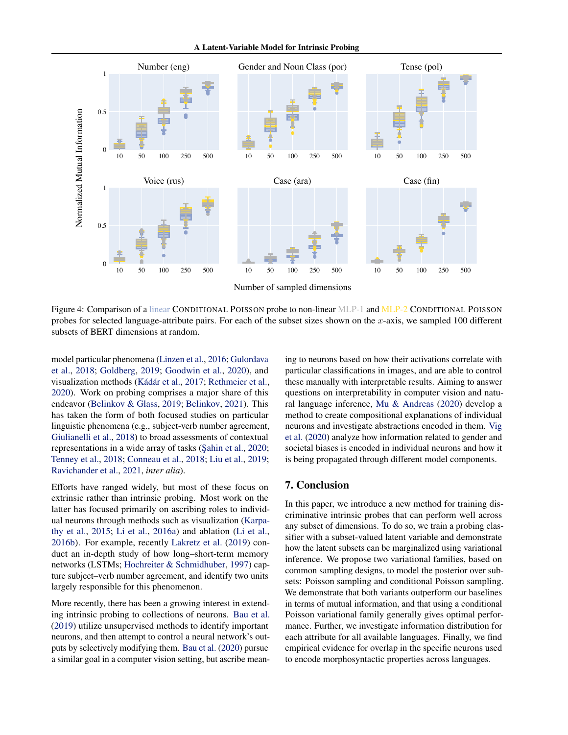A Latent-Variable Model for Intrinsic Probing

<span id="page-7-0"></span>

Figure 4: Comparison of a linear CONDITIONAL POISSON probe to non-linear MLP-1 and MLP-2 CONDITIONAL POISSON probes for selected language-attribute pairs. For each of the subset sizes shown on the  $x$ -axis, we sampled 100 different subsets of BERT dimensions at random.

model particular phenomena [\(Linzen et al.,](#page-10-0) [2016;](#page-10-0) [Gulordava](#page-9-0) [et al.,](#page-9-0) [2018;](#page-9-0) [Goldberg,](#page-8-0) [2019;](#page-8-0) [Goodwin et al.,](#page-9-0) [2020\)](#page-9-0), and visualization methods [\(Kádár et al.,](#page-9-0) [2017;](#page-9-0) [Rethmeier et al.,](#page-11-0) [2020\)](#page-11-0). Work on probing comprises a major share of this endeavor [\(Belinkov & Glass,](#page-8-0) [2019;](#page-8-0) [Belinkov,](#page-8-0) [2021\)](#page-8-0). This has taken the form of both focused studies on particular linguistic phenomena (e.g., subject-verb number agreement, [Giulianelli et al.,](#page-8-0) [2018\)](#page-8-0) to broad assessments of contextual representations in a wide array of tasks (Sahin et al., [2020;](#page-11-0) [Tenney et al.,](#page-11-0) [2018;](#page-11-0) [Conneau et al.,](#page-8-0) [2018;](#page-8-0) [Liu et al.,](#page-10-0) [2019;](#page-10-0) [Ravichander et al.,](#page-11-0) [2021,](#page-11-0) *inter alia*).

Efforts have ranged widely, but most of these focus on extrinsic rather than intrinsic probing. Most work on the latter has focused primarily on ascribing roles to individual neurons through methods such as visualization [\(Karpa](#page-9-0)[thy et al.,](#page-9-0) [2015;](#page-9-0) [Li et al.,](#page-9-0) [2016a\)](#page-9-0) and ablation [\(Li et al.,](#page-9-0) [2016b\)](#page-9-0). For example, recently [Lakretz et al.](#page-9-0) [\(2019\)](#page-9-0) conduct an in-depth study of how long–short-term memory networks (LSTMs; [Hochreiter & Schmidhuber,](#page-9-0) [1997\)](#page-9-0) capture subject–verb number agreement, and identify two units largely responsible for this phenomenon.

More recently, there has been a growing interest in extending intrinsic probing to collections of neurons. [Bau et al.](#page-8-0) [\(2019\)](#page-8-0) utilize unsupervised methods to identify important neurons, and then attempt to control a neural network's outputs by selectively modifying them. [Bau et al.](#page-8-0) [\(2020\)](#page-8-0) pursue a similar goal in a computer vision setting, but ascribe meaning to neurons based on how their activations correlate with particular classifications in images, and are able to control these manually with interpretable results. Aiming to answer questions on interpretability in computer vision and natural language inference, [Mu & Andreas](#page-10-0) [\(2020\)](#page-10-0) develop a method to create compositional explanations of individual neurons and investigate abstractions encoded in them. [Vig](#page-12-0) [et al.](#page-12-0) [\(2020\)](#page-12-0) analyze how information related to gender and societal biases is encoded in individual neurons and how it is being propagated through different model components.

# 7. Conclusion

In this paper, we introduce a new method for training discriminative intrinsic probes that can perform well across any subset of dimensions. To do so, we train a probing classifier with a subset-valued latent variable and demonstrate how the latent subsets can be marginalized using variational inference. We propose two variational families, based on common sampling designs, to model the posterior over subsets: Poisson sampling and conditional Poisson sampling. We demonstrate that both variants outperform our baselines in terms of mutual information, and that using a conditional Poisson variational family generally gives optimal performance. Further, we investigate information distribution for each attribute for all available languages. Finally, we find empirical evidence for overlap in the specific neurons used to encode morphosyntactic properties across languages.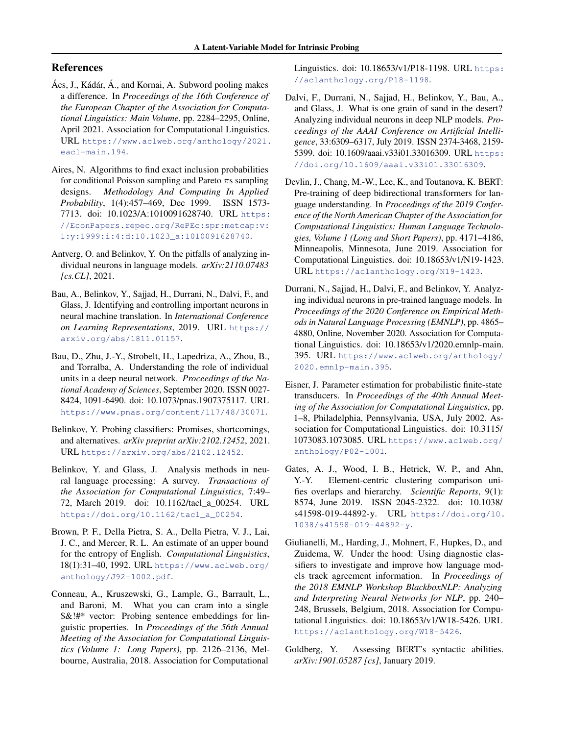# <span id="page-8-0"></span>References

- Ács, J., Kádár, Á., and Kornai, A. Subword pooling makes a difference. In *Proceedings of the 16th Conference of the European Chapter of the Association for Computational Linguistics: Main Volume*, pp. 2284–2295, Online, April 2021. Association for Computational Linguistics. URL [https://www.aclweb.org/anthology/2021.](https://www.aclweb.org/anthology/2021.eacl-main.194) [eacl-main.194](https://www.aclweb.org/anthology/2021.eacl-main.194).
- Aires, N. Algorithms to find exact inclusion probabilities for conditional Poisson sampling and Pareto  $\pi s$  sampling designs. *Methodology And Computing In Applied Probability*, 1(4):457–469, Dec 1999. ISSN 1573- 7713. doi: 10.1023/A:1010091628740. URL [https:](https://EconPapers.repec.org/RePEc:spr:metcap:v:1:y:1999:i:4:d:10.1023_a:1010091628740) [//EconPapers.repec.org/RePEc:spr:metcap:v:](https://EconPapers.repec.org/RePEc:spr:metcap:v:1:y:1999:i:4:d:10.1023_a:1010091628740) [1:y:1999:i:4:d:10.1023\\_a:1010091628740](https://EconPapers.repec.org/RePEc:spr:metcap:v:1:y:1999:i:4:d:10.1023_a:1010091628740).
- Antverg, O. and Belinkov, Y. On the pitfalls of analyzing individual neurons in language models. *arXiv:2110.07483 [cs.CL]*, 2021.
- Bau, A., Belinkov, Y., Sajjad, H., Durrani, N., Dalvi, F., and Glass, J. Identifying and controlling important neurons in neural machine translation. In *International Conference on Learning Representations*, 2019. URL [https://](https://arxiv.org/abs/1811.01157) [arxiv.org/abs/1811.01157](https://arxiv.org/abs/1811.01157).
- Bau, D., Zhu, J.-Y., Strobelt, H., Lapedriza, A., Zhou, B., and Torralba, A. Understanding the role of individual units in a deep neural network. *Proceedings of the National Academy of Sciences*, September 2020. ISSN 0027- 8424, 1091-6490. doi: 10.1073/pnas.1907375117. URL <https://www.pnas.org/content/117/48/30071>.
- Belinkov, Y. Probing classifiers: Promises, shortcomings, and alternatives. *arXiv preprint arXiv:2102.12452*, 2021. URL <https://arxiv.org/abs/2102.12452>.
- Belinkov, Y. and Glass, J. Analysis methods in neural language processing: A survey. *Transactions of the Association for Computational Linguistics*, 7:49– 72, March 2019. doi: 10.1162/tacl\_a\_00254. URL [https://doi.org/10.1162/tacl\\_a\\_00254](https://doi.org/10.1162/tacl_a_00254).
- Brown, P. F., Della Pietra, S. A., Della Pietra, V. J., Lai, J. C., and Mercer, R. L. An estimate of an upper bound for the entropy of English. *Computational Linguistics*, 18(1):31–40, 1992. URL [https://www.aclweb.org/](https://www.aclweb.org/anthology/J92-1002.pdf) [anthology/J92-1002.pdf](https://www.aclweb.org/anthology/J92-1002.pdf).
- Conneau, A., Kruszewski, G., Lample, G., Barrault, L., and Baroni, M. What you can cram into a single \$&!#\* vector: Probing sentence embeddings for linguistic properties. In *Proceedings of the 56th Annual Meeting of the Association for Computational Linguistics (Volume 1: Long Papers)*, pp. 2126–2136, Melbourne, Australia, 2018. Association for Computational

Linguistics. doi: 10.18653/v1/P18-1198. URL [https:](https://aclanthology.org/P18-1198) [//aclanthology.org/P18-1198](https://aclanthology.org/P18-1198).

- Dalvi, F., Durrani, N., Sajjad, H., Belinkov, Y., Bau, A., and Glass, J. What is one grain of sand in the desert? Analyzing individual neurons in deep NLP models. *Proceedings of the AAAI Conference on Artificial Intelligence*, 33:6309–6317, July 2019. ISSN 2374-3468, 2159- 5399. doi: 10.1609/aaai.v33i01.33016309. URL [https:](https://doi.org/10.1609/aaai.v33i01.33016309) [//doi.org/10.1609/aaai.v33i01.33016309](https://doi.org/10.1609/aaai.v33i01.33016309).
- Devlin, J., Chang, M.-W., Lee, K., and Toutanova, K. BERT: Pre-training of deep bidirectional transformers for language understanding. In *Proceedings of the 2019 Conference of the North American Chapter of the Association for Computational Linguistics: Human Language Technologies, Volume 1 (Long and Short Papers)*, pp. 4171–4186, Minneapolis, Minnesota, June 2019. Association for Computational Linguistics. doi: 10.18653/v1/N19-1423. URL <https://aclanthology.org/N19-1423>.
- Durrani, N., Sajjad, H., Dalvi, F., and Belinkov, Y. Analyzing individual neurons in pre-trained language models. In *Proceedings of the 2020 Conference on Empirical Methods in Natural Language Processing (EMNLP)*, pp. 4865– 4880, Online, November 2020. Association for Computational Linguistics. doi: 10.18653/v1/2020.emnlp-main. 395. URL [https://www.aclweb.org/anthology/](https://www.aclweb.org/anthology/2020.emnlp-main.395) [2020.emnlp-main.395](https://www.aclweb.org/anthology/2020.emnlp-main.395).
- Eisner, J. Parameter estimation for probabilistic finite-state transducers. In *Proceedings of the 40th Annual Meeting of the Association for Computational Linguistics*, pp. 1–8, Philadelphia, Pennsylvania, USA, July 2002. Association for Computational Linguistics. doi: 10.3115/ 1073083.1073085. URL [https://www.aclweb.org/](https://www.aclweb.org/anthology/P02-1001) [anthology/P02-1001](https://www.aclweb.org/anthology/P02-1001).
- Gates, A. J., Wood, I. B., Hetrick, W. P., and Ahn, Y.-Y. Element-centric clustering comparison unifies overlaps and hierarchy. *Scientific Reports*, 9(1): 8574, June 2019. ISSN 2045-2322. doi: 10.1038/ s41598-019-44892-y. URL [https://doi.org/10.](https://doi.org/10.1038/s41598-019-44892-y) [1038/s41598-019-44892-y](https://doi.org/10.1038/s41598-019-44892-y).
- Giulianelli, M., Harding, J., Mohnert, F., Hupkes, D., and Zuidema, W. Under the hood: Using diagnostic classifiers to investigate and improve how language models track agreement information. In *Proceedings of the 2018 EMNLP Workshop BlackboxNLP: Analyzing and Interpreting Neural Networks for NLP*, pp. 240– 248, Brussels, Belgium, 2018. Association for Computational Linguistics. doi: 10.18653/v1/W18-5426. URL <https://aclanthology.org/W18-5426>.
- Goldberg, Y. Assessing BERT's syntactic abilities. *arXiv:1901.05287 [cs]*, January 2019.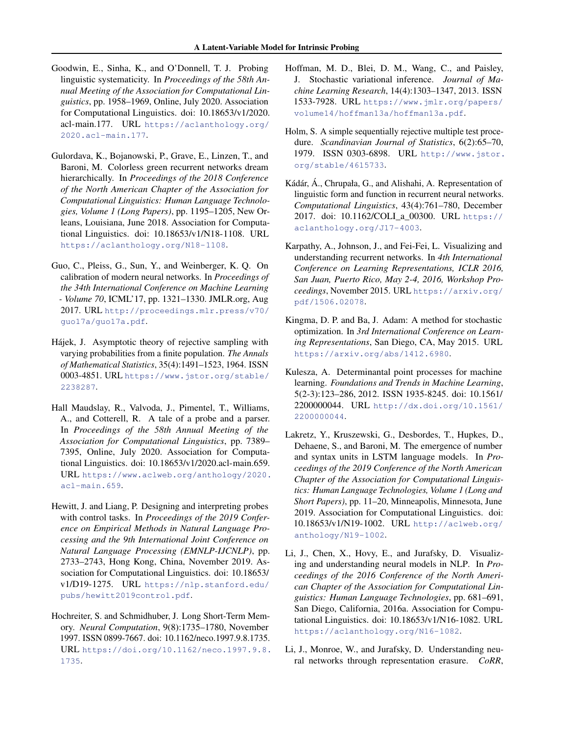- <span id="page-9-0"></span>Goodwin, E., Sinha, K., and O'Donnell, T. J. Probing linguistic systematicity. In *Proceedings of the 58th Annual Meeting of the Association for Computational Linguistics*, pp. 1958–1969, Online, July 2020. Association for Computational Linguistics. doi: 10.18653/v1/2020. acl-main.177. URL [https://aclanthology.org/](https://aclanthology.org/2020.acl-main.177) [2020.acl-main.177](https://aclanthology.org/2020.acl-main.177).
- Gulordava, K., Bojanowski, P., Grave, E., Linzen, T., and Baroni, M. Colorless green recurrent networks dream hierarchically. In *Proceedings of the 2018 Conference of the North American Chapter of the Association for Computational Linguistics: Human Language Technologies, Volume 1 (Long Papers)*, pp. 1195–1205, New Orleans, Louisiana, June 2018. Association for Computational Linguistics. doi: 10.18653/v1/N18-1108. URL <https://aclanthology.org/N18-1108>.
- Guo, C., Pleiss, G., Sun, Y., and Weinberger, K. Q. On calibration of modern neural networks. In *Proceedings of the 34th International Conference on Machine Learning - Volume 70*, ICML'17, pp. 1321–1330. JMLR.org, Aug 2017. URL [http://proceedings.mlr.press/v70/](http://proceedings.mlr.press/v70/guo17a/guo17a.pdf) [guo17a/guo17a.pdf](http://proceedings.mlr.press/v70/guo17a/guo17a.pdf).
- Hájek, J. Asymptotic theory of rejective sampling with varying probabilities from a finite population. *The Annals of Mathematical Statistics*, 35(4):1491–1523, 1964. ISSN 0003-4851. URL [https://www.jstor.org/stable/](https://www.jstor.org/stable/2238287) [2238287](https://www.jstor.org/stable/2238287).
- Hall Maudslay, R., Valvoda, J., Pimentel, T., Williams, A., and Cotterell, R. A tale of a probe and a parser. In *Proceedings of the 58th Annual Meeting of the Association for Computational Linguistics*, pp. 7389– 7395, Online, July 2020. Association for Computational Linguistics. doi: 10.18653/v1/2020.acl-main.659. URL [https://www.aclweb.org/anthology/2020.](https://www.aclweb.org/anthology/2020.acl-main.659) [acl-main.659](https://www.aclweb.org/anthology/2020.acl-main.659).
- Hewitt, J. and Liang, P. Designing and interpreting probes with control tasks. In *Proceedings of the 2019 Conference on Empirical Methods in Natural Language Processing and the 9th International Joint Conference on Natural Language Processing (EMNLP-IJCNLP)*, pp. 2733–2743, Hong Kong, China, November 2019. Association for Computational Linguistics. doi: 10.18653/ v1/D19-1275. URL [https://nlp.stanford.edu/](https://nlp.stanford.edu/pubs/hewitt2019control.pdf) [pubs/hewitt2019control.pdf](https://nlp.stanford.edu/pubs/hewitt2019control.pdf).
- Hochreiter, S. and Schmidhuber, J. Long Short-Term Memory. *Neural Computation*, 9(8):1735–1780, November 1997. ISSN 0899-7667. doi: 10.1162/neco.1997.9.8.1735. URL [https://doi.org/10.1162/neco.1997.9.8.](https://doi.org/10.1162/neco.1997.9.8.1735) [1735](https://doi.org/10.1162/neco.1997.9.8.1735).
- Hoffman, M. D., Blei, D. M., Wang, C., and Paisley, J. Stochastic variational inference. *Journal of Machine Learning Research*, 14(4):1303–1347, 2013. ISSN 1533-7928. URL [https://www.jmlr.org/papers/](https://www.jmlr.org/papers/volume14/hoffman13a/hoffman13a.pdf) [volume14/hoffman13a/hoffman13a.pdf](https://www.jmlr.org/papers/volume14/hoffman13a/hoffman13a.pdf).
- Holm, S. A simple sequentially rejective multiple test procedure. *Scandinavian Journal of Statistics*, 6(2):65–70, 1979. ISSN 0303-6898. URL [http://www.jstor.](http://www.jstor.org/stable/4615733) [org/stable/4615733](http://www.jstor.org/stable/4615733).
- Kádár, Á., Chrupała, G., and Alishahi, A. Representation of linguistic form and function in recurrent neural networks. *Computational Linguistics*, 43(4):761–780, December 2017. doi: 10.1162/COLI\_a\_00300. URL [https://](https://aclanthology.org/J17-4003) [aclanthology.org/J17-4003](https://aclanthology.org/J17-4003).
- Karpathy, A., Johnson, J., and Fei-Fei, L. Visualizing and understanding recurrent networks. In *4th International Conference on Learning Representations, ICLR 2016, San Juan, Puerto Rico, May 2-4, 2016, Workshop Proceedings*, November 2015. URL [https://arxiv.org/](https://arxiv.org/pdf/1506.02078) [pdf/1506.02078](https://arxiv.org/pdf/1506.02078).
- Kingma, D. P. and Ba, J. Adam: A method for stochastic optimization. In *3rd International Conference on Learning Representations*, San Diego, CA, May 2015. URL <https://arxiv.org/abs/1412.6980>.
- Kulesza, A. Determinantal point processes for machine learning. *Foundations and Trends in Machine Learning*, 5(2-3):123–286, 2012. ISSN 1935-8245. doi: 10.1561/ 2200000044. URL [http://dx.doi.org/10.1561/](http://dx.doi.org/10.1561/2200000044) [2200000044](http://dx.doi.org/10.1561/2200000044).
- Lakretz, Y., Kruszewski, G., Desbordes, T., Hupkes, D., Dehaene, S., and Baroni, M. The emergence of number and syntax units in LSTM language models. In *Proceedings of the 2019 Conference of the North American Chapter of the Association for Computational Linguistics: Human Language Technologies, Volume 1 (Long and Short Papers)*, pp. 11–20, Minneapolis, Minnesota, June 2019. Association for Computational Linguistics. doi: 10.18653/v1/N19-1002. URL [http://aclweb.org/](http://aclweb.org/anthology/N19-1002) [anthology/N19-1002](http://aclweb.org/anthology/N19-1002).
- Li, J., Chen, X., Hovy, E., and Jurafsky, D. Visualizing and understanding neural models in NLP. In *Proceedings of the 2016 Conference of the North American Chapter of the Association for Computational Linguistics: Human Language Technologies*, pp. 681–691, San Diego, California, 2016a. Association for Computational Linguistics. doi: 10.18653/v1/N16-1082. URL <https://aclanthology.org/N16-1082>.
- Li, J., Monroe, W., and Jurafsky, D. Understanding neural networks through representation erasure. *CoRR*,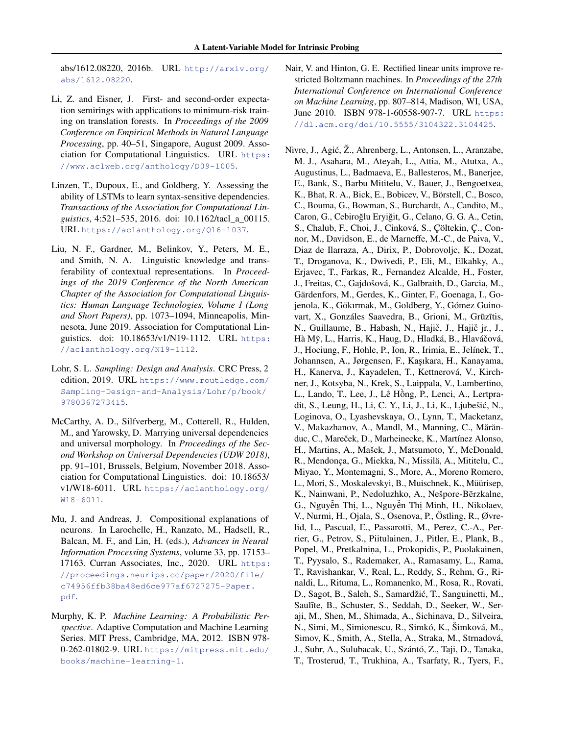<span id="page-10-0"></span>abs/1612.08220, 2016b. URL [http://arxiv.org/](http://arxiv.org/abs/1612.08220) [abs/1612.08220](http://arxiv.org/abs/1612.08220).

- Li, Z. and Eisner, J. First- and second-order expectation semirings with applications to minimum-risk training on translation forests. In *Proceedings of the 2009 Conference on Empirical Methods in Natural Language Processing*, pp. 40–51, Singapore, August 2009. Association for Computational Linguistics. URL [https:](https://www.aclweb.org/anthology/D09-1005) [//www.aclweb.org/anthology/D09-1005](https://www.aclweb.org/anthology/D09-1005).
- Linzen, T., Dupoux, E., and Goldberg, Y. Assessing the ability of LSTMs to learn syntax-sensitive dependencies. *Transactions of the Association for Computational Linguistics*, 4:521–535, 2016. doi: 10.1162/tacl\_a\_00115. URL <https://aclanthology.org/Q16-1037>.
- Liu, N. F., Gardner, M., Belinkov, Y., Peters, M. E., and Smith, N. A. Linguistic knowledge and transferability of contextual representations. In *Proceedings of the 2019 Conference of the North American Chapter of the Association for Computational Linguistics: Human Language Technologies, Volume 1 (Long and Short Papers)*, pp. 1073–1094, Minneapolis, Minnesota, June 2019. Association for Computational Linguistics. doi: 10.18653/v1/N19-1112. URL [https:](https://aclanthology.org/N19-1112) [//aclanthology.org/N19-1112](https://aclanthology.org/N19-1112).
- Lohr, S. L. *Sampling: Design and Analysis*. CRC Press, 2 edition, 2019. URL [https://www.routledge.com/](https://www.routledge.com/Sampling-Design-and-Analysis/Lohr/p/book/9780367273415) [Sampling-Design-and-Analysis/Lohr/p/book/](https://www.routledge.com/Sampling-Design-and-Analysis/Lohr/p/book/9780367273415) [9780367273415](https://www.routledge.com/Sampling-Design-and-Analysis/Lohr/p/book/9780367273415).
- McCarthy, A. D., Silfverberg, M., Cotterell, R., Hulden, M., and Yarowsky, D. Marrying universal dependencies and universal morphology. In *Proceedings of the Second Workshop on Universal Dependencies (UDW 2018)*, pp. 91–101, Brussels, Belgium, November 2018. Association for Computational Linguistics. doi: 10.18653/ v1/W18-6011. URL [https://aclanthology.org/](https://aclanthology.org/W18-6011) [W18-6011](https://aclanthology.org/W18-6011).
- Mu, J. and Andreas, J. Compositional explanations of neurons. In Larochelle, H., Ranzato, M., Hadsell, R., Balcan, M. F., and Lin, H. (eds.), *Advances in Neural Information Processing Systems*, volume 33, pp. 17153– 17163. Curran Associates, Inc., 2020. URL [https:](https://proceedings.neurips.cc/paper/2020/file/c74956ffb38ba48ed6ce977af6727275-Paper.pdf) [//proceedings.neurips.cc/paper/2020/file/](https://proceedings.neurips.cc/paper/2020/file/c74956ffb38ba48ed6ce977af6727275-Paper.pdf) [c74956ffb38ba48ed6ce977af6727275-Paper.](https://proceedings.neurips.cc/paper/2020/file/c74956ffb38ba48ed6ce977af6727275-Paper.pdf) [pdf](https://proceedings.neurips.cc/paper/2020/file/c74956ffb38ba48ed6ce977af6727275-Paper.pdf).
- Murphy, K. P. *Machine Learning: A Probabilistic Perspective*. Adaptive Computation and Machine Learning Series. MIT Press, Cambridge, MA, 2012. ISBN 978- 0-262-01802-9. URL [https://mitpress.mit.edu/](https://mitpress.mit.edu/books/machine-learning-1) [books/machine-learning-1](https://mitpress.mit.edu/books/machine-learning-1).
- Nair, V. and Hinton, G. E. Rectified linear units improve restricted Boltzmann machines. In *Proceedings of the 27th International Conference on International Conference on Machine Learning*, pp. 807–814, Madison, WI, USA, June 2010. ISBN 978-1-60558-907-7. URL [https:](https://dl.acm.org/doi/10.5555/3104322.3104425) [//dl.acm.org/doi/10.5555/3104322.3104425](https://dl.acm.org/doi/10.5555/3104322.3104425).
- Nivre, J., Agic, Ž., Ahrenberg, L., Antonsen, L., Aranzabe, ´ M. J., Asahara, M., Ateyah, L., Attia, M., Atutxa, A., Augustinus, L., Badmaeva, E., Ballesteros, M., Banerjee, E., Bank, S., Barbu Mititelu, V., Bauer, J., Bengoetxea, K., Bhat, R. A., Bick, E., Bobicev, V., Börstell, C., Bosco, C., Bouma, G., Bowman, S., Burchardt, A., Candito, M., Caron, G., Cebiroğlu Eryiğit, G., Celano, G. G. A., Cetin, S., Chalub, F., Choi, J., Cinková, S., Çöltekin, Ç., Connor, M., Davidson, E., de Marneffe, M.-C., de Paiva, V., Diaz de Ilarraza, A., Dirix, P., Dobrovoljc, K., Dozat, T., Droganova, K., Dwivedi, P., Eli, M., Elkahky, A., Erjavec, T., Farkas, R., Fernandez Alcalde, H., Foster, J., Freitas, C., Gajdošová, K., Galbraith, D., Garcia, M., Gärdenfors, M., Gerdes, K., Ginter, F., Goenaga, I., Gojenola, K., Gökırmak, M., Goldberg, Y., Gómez Guinovart, X., Gonzáles Saavedra, B., Grioni, M., Grūzītis, N., Guillaume, B., Habash, N., Hajič, J., Hajič jr., J., Hà Mỹ, L., Harris, K., Haug, D., Hladká, B., Hlaváčová, J., Hociung, F., Hohle, P., Ion, R., Irimia, E., Jelínek, T., Johannsen, A., Jørgensen, F., Kaşıkara, H., Kanayama, H., Kanerva, J., Kayadelen, T., Kettnerová, V., Kirchner, J., Kotsyba, N., Krek, S., Laippala, V., Lambertino, L., Lando, T., Lee, J., Lê Hông, P., Lenci, A., Lertpra- ` dit, S., Leung, H., Li, C. Y., Li, J., Li, K., Ljubešic, N., ´ Loginova, O., Lyashevskaya, O., Lynn, T., Macketanz, V., Makazhanov, A., Mandl, M., Manning, C., Mărănduc, C., Mareček, D., Marheinecke, K., Martínez Alonso, H., Martins, A., Mašek, J., Matsumoto, Y., McDonald, R., Mendonça, G., Miekka, N., Missilä, A., Mititelu, C., Miyao, Y., Montemagni, S., More, A., Moreno Romero, L., Mori, S., Moskalevskyi, B., Muischnek, K., Müürisep, K., Nainwani, P., Nedoluzhko, A., Nešpore-Bērzkalne, G., Nguyễn Thị, L., Nguyễn Thị Minh, H., Nikolaev, V., Nurmi, H., Ojala, S., Osenova, P., Östling, R., Øvrelid, L., Pascual, E., Passarotti, M., Perez, C.-A., Perrier, G., Petrov, S., Piitulainen, J., Pitler, E., Plank, B., Popel, M., Pretkalnina, L., Prokopidis, P., Puolakainen, T., Pyysalo, S., Rademaker, A., Ramasamy, L., Rama, T., Ravishankar, V., Real, L., Reddy, S., Rehm, G., Rinaldi, L., Rituma, L., Romanenko, M., Rosa, R., Rovati, D., Sagot, B., Saleh, S., Samardžic, T., Sanguinetti, M., ´ Saulīte, B., Schuster, S., Seddah, D., Seeker, W., Seraji, M., Shen, M., Shimada, A., Sichinava, D., Silveira, N., Simi, M., Simionescu, R., Simkó, K., Šimková, M., Simov, K., Smith, A., Stella, A., Straka, M., Strnadová, J., Suhr, A., Sulubacak, U., Szántó, Z., Taji, D., Tanaka, T., Trosterud, T., Trukhina, A., Tsarfaty, R., Tyers, F.,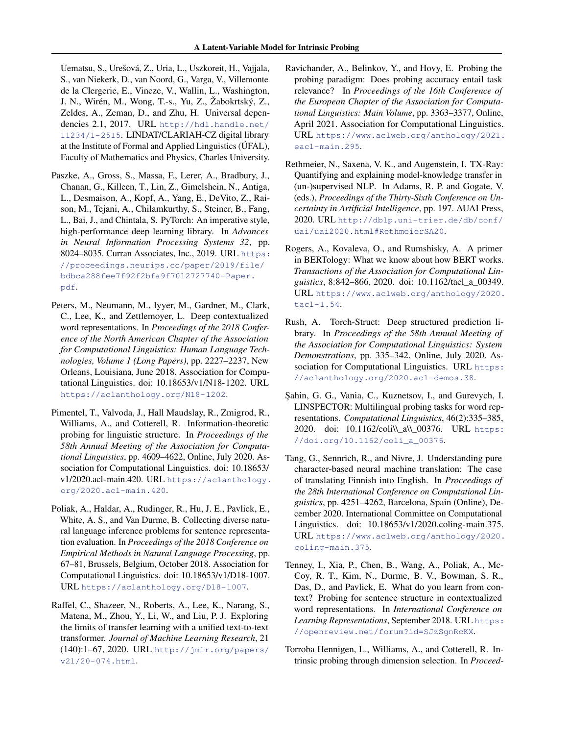<span id="page-11-0"></span>Uematsu, S., Urešová, Z., Uria, L., Uszkoreit, H., Vajjala, S., van Niekerk, D., van Noord, G., Varga, V., Villemonte de la Clergerie, E., Vincze, V., Wallin, L., Washington, J. N., Wirén, M., Wong, T.-s., Yu, Z., Žabokrtský, Z., Zeldes, A., Zeman, D., and Zhu, H. Universal dependencies 2.1, 2017. URL [http://hdl.handle.net/](http://hdl.handle.net/11234/1-2515) [11234/1-2515](http://hdl.handle.net/11234/1-2515). LINDAT/CLARIAH-CZ digital library at the Institute of Formal and Applied Linguistics (ÚFAL), Faculty of Mathematics and Physics, Charles University.

- Paszke, A., Gross, S., Massa, F., Lerer, A., Bradbury, J., Chanan, G., Killeen, T., Lin, Z., Gimelshein, N., Antiga, L., Desmaison, A., Kopf, A., Yang, E., DeVito, Z., Raison, M., Tejani, A., Chilamkurthy, S., Steiner, B., Fang, L., Bai, J., and Chintala, S. PyTorch: An imperative style, high-performance deep learning library. In *Advances in Neural Information Processing Systems 32*, pp. 8024–8035. Curran Associates, Inc., 2019. URL [https:](https://proceedings.neurips.cc/paper/2019/file/bdbca288fee7f92f2bfa9f7012727740-Paper.pdf) [//proceedings.neurips.cc/paper/2019/file/](https://proceedings.neurips.cc/paper/2019/file/bdbca288fee7f92f2bfa9f7012727740-Paper.pdf) [bdbca288fee7f92f2bfa9f7012727740-Paper.](https://proceedings.neurips.cc/paper/2019/file/bdbca288fee7f92f2bfa9f7012727740-Paper.pdf) [pdf](https://proceedings.neurips.cc/paper/2019/file/bdbca288fee7f92f2bfa9f7012727740-Paper.pdf).
- Peters, M., Neumann, M., Iyyer, M., Gardner, M., Clark, C., Lee, K., and Zettlemoyer, L. Deep contextualized word representations. In *Proceedings of the 2018 Conference of the North American Chapter of the Association for Computational Linguistics: Human Language Technologies, Volume 1 (Long Papers)*, pp. 2227–2237, New Orleans, Louisiana, June 2018. Association for Computational Linguistics. doi: 10.18653/v1/N18-1202. URL <https://aclanthology.org/N18-1202>.
- Pimentel, T., Valvoda, J., Hall Maudslay, R., Zmigrod, R., Williams, A., and Cotterell, R. Information-theoretic probing for linguistic structure. In *Proceedings of the 58th Annual Meeting of the Association for Computational Linguistics*, pp. 4609–4622, Online, July 2020. Association for Computational Linguistics. doi: 10.18653/ v1/2020.acl-main.420. URL [https://aclanthology.](https://aclanthology.org/2020.acl-main.420) [org/2020.acl-main.420](https://aclanthology.org/2020.acl-main.420).
- Poliak, A., Haldar, A., Rudinger, R., Hu, J. E., Pavlick, E., White, A. S., and Van Durme, B. Collecting diverse natural language inference problems for sentence representation evaluation. In *Proceedings of the 2018 Conference on Empirical Methods in Natural Language Processing*, pp. 67–81, Brussels, Belgium, October 2018. Association for Computational Linguistics. doi: 10.18653/v1/D18-1007. URL <https://aclanthology.org/D18-1007>.
- Raffel, C., Shazeer, N., Roberts, A., Lee, K., Narang, S., Matena, M., Zhou, Y., Li, W., and Liu, P. J. Exploring the limits of transfer learning with a unified text-to-text transformer. *Journal of Machine Learning Research*, 21 (140):1–67, 2020. URL [http://jmlr.org/papers/](http://jmlr.org/papers/v21/20-074.html) [v21/20-074.html](http://jmlr.org/papers/v21/20-074.html).
- Ravichander, A., Belinkov, Y., and Hovy, E. Probing the probing paradigm: Does probing accuracy entail task relevance? In *Proceedings of the 16th Conference of the European Chapter of the Association for Computational Linguistics: Main Volume*, pp. 3363–3377, Online, April 2021. Association for Computational Linguistics. URL [https://www.aclweb.org/anthology/2021.](https://www.aclweb.org/anthology/2021.eacl-main.295) [eacl-main.295](https://www.aclweb.org/anthology/2021.eacl-main.295).
- Rethmeier, N., Saxena, V. K., and Augenstein, I. TX-Ray: Quantifying and explaining model-knowledge transfer in (un-)supervised NLP. In Adams, R. P. and Gogate, V. (eds.), *Proceedings of the Thirty-Sixth Conference on Uncertainty in Artificial Intelligence*, pp. 197. AUAI Press, 2020. URL [http://dblp.uni-trier.de/db/conf/](http://dblp.uni-trier.de/db/conf/uai/uai2020.html#RethmeierSA20) [uai/uai2020.html#RethmeierSA20](http://dblp.uni-trier.de/db/conf/uai/uai2020.html#RethmeierSA20).
- Rogers, A., Kovaleva, O., and Rumshisky, A. A primer in BERTology: What we know about how BERT works. *Transactions of the Association for Computational Linguistics*, 8:842–866, 2020. doi: 10.1162/tacl\_a\_00349. URL [https://www.aclweb.org/anthology/2020.](https://www.aclweb.org/anthology/2020.tacl-1.54) [tacl-1.54](https://www.aclweb.org/anthology/2020.tacl-1.54).
- Rush, A. Torch-Struct: Deep structured prediction library. In *Proceedings of the 58th Annual Meeting of the Association for Computational Linguistics: System Demonstrations*, pp. 335–342, Online, July 2020. Association for Computational Linguistics. URL [https:](https://aclanthology.org/2020.acl-demos.38) [//aclanthology.org/2020.acl-demos.38](https://aclanthology.org/2020.acl-demos.38).
- ¸Sahin, G. G., Vania, C., Kuznetsov, I., and Gurevych, I. LINSPECTOR: Multilingual probing tasks for word representations. *Computational Linguistics*, 46(2):335–385, 2020. doi: 10.1162/coli\\\_a\\\_00376. URL [https:](https://doi.org/10.1162/coli_a_00376) [//doi.org/10.1162/coli\\_a\\_00376](https://doi.org/10.1162/coli_a_00376).
- Tang, G., Sennrich, R., and Nivre, J. Understanding pure character-based neural machine translation: The case of translating Finnish into English. In *Proceedings of the 28th International Conference on Computational Linguistics*, pp. 4251–4262, Barcelona, Spain (Online), December 2020. International Committee on Computational Linguistics. doi: 10.18653/v1/2020.coling-main.375. URL [https://www.aclweb.org/anthology/2020.](https://www.aclweb.org/anthology/2020.coling-main.375) [coling-main.375](https://www.aclweb.org/anthology/2020.coling-main.375).
- Tenney, I., Xia, P., Chen, B., Wang, A., Poliak, A., Mc-Coy, R. T., Kim, N., Durme, B. V., Bowman, S. R., Das, D., and Pavlick, E. What do you learn from context? Probing for sentence structure in contextualized word representations. In *International Conference on Learning Representations*, September 2018. URL [https:](https://openreview.net/forum?id=SJzSgnRcKX) [//openreview.net/forum?id=SJzSgnRcKX](https://openreview.net/forum?id=SJzSgnRcKX).
- Torroba Hennigen, L., Williams, A., and Cotterell, R. Intrinsic probing through dimension selection. In *Proceed-*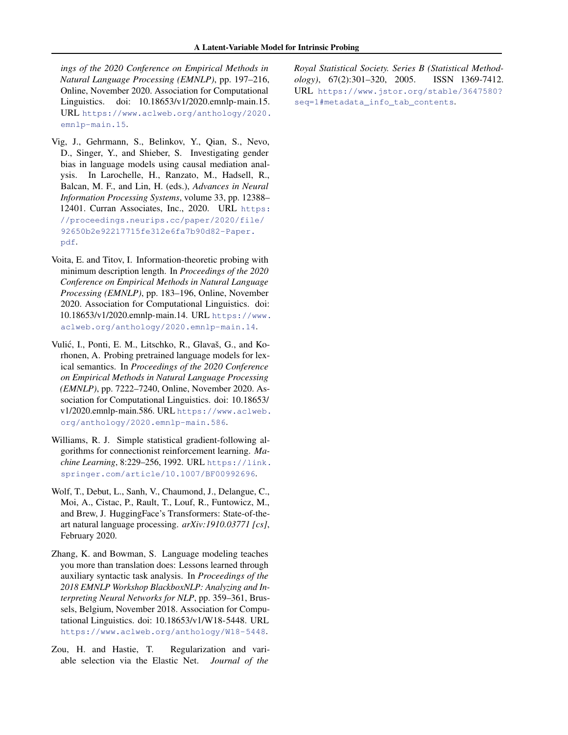<span id="page-12-0"></span>*ings of the 2020 Conference on Empirical Methods in Natural Language Processing (EMNLP)*, pp. 197–216, Online, November 2020. Association for Computational Linguistics. doi: 10.18653/v1/2020.emnlp-main.15. URL [https://www.aclweb.org/anthology/2020.](https://www.aclweb.org/anthology/2020.emnlp-main.15) [emnlp-main.15](https://www.aclweb.org/anthology/2020.emnlp-main.15).

- Vig, J., Gehrmann, S., Belinkov, Y., Qian, S., Nevo, D., Singer, Y., and Shieber, S. Investigating gender bias in language models using causal mediation analysis. In Larochelle, H., Ranzato, M., Hadsell, R., Balcan, M. F., and Lin, H. (eds.), *Advances in Neural Information Processing Systems*, volume 33, pp. 12388– 12401. Curran Associates, Inc., 2020. URL [https:](https://proceedings.neurips.cc/paper/2020/file/92650b2e92217715fe312e6fa7b90d82-Paper.pdf) [//proceedings.neurips.cc/paper/2020/file/](https://proceedings.neurips.cc/paper/2020/file/92650b2e92217715fe312e6fa7b90d82-Paper.pdf) [92650b2e92217715fe312e6fa7b90d82-Paper.](https://proceedings.neurips.cc/paper/2020/file/92650b2e92217715fe312e6fa7b90d82-Paper.pdf) [pdf](https://proceedings.neurips.cc/paper/2020/file/92650b2e92217715fe312e6fa7b90d82-Paper.pdf).
- Voita, E. and Titov, I. Information-theoretic probing with minimum description length. In *Proceedings of the 2020 Conference on Empirical Methods in Natural Language Processing (EMNLP)*, pp. 183–196, Online, November 2020. Association for Computational Linguistics. doi: 10.18653/v1/2020.emnlp-main.14. URL [https://www.](https://www.aclweb.org/anthology/2020.emnlp-main.14) [aclweb.org/anthology/2020.emnlp-main.14](https://www.aclweb.org/anthology/2020.emnlp-main.14).
- Vulic, I., Ponti, E. M., Litschko, R., Glavaš, G., and Ko- ´ rhonen, A. Probing pretrained language models for lexical semantics. In *Proceedings of the 2020 Conference on Empirical Methods in Natural Language Processing (EMNLP)*, pp. 7222–7240, Online, November 2020. Association for Computational Linguistics. doi: 10.18653/ v1/2020.emnlp-main.586. URL [https://www.aclweb.](https://www.aclweb.org/anthology/2020.emnlp-main.586) [org/anthology/2020.emnlp-main.586](https://www.aclweb.org/anthology/2020.emnlp-main.586).
- Williams, R. J. Simple statistical gradient-following algorithms for connectionist reinforcement learning. *Machine Learning*, 8:229–256, 1992. URL [https://link.](https://link.springer.com/article/10.1007/BF00992696) [springer.com/article/10.1007/BF00992696](https://link.springer.com/article/10.1007/BF00992696).
- Wolf, T., Debut, L., Sanh, V., Chaumond, J., Delangue, C., Moi, A., Cistac, P., Rault, T., Louf, R., Funtowicz, M., and Brew, J. HuggingFace's Transformers: State-of-theart natural language processing. *arXiv:1910.03771 [cs]*, February 2020.
- Zhang, K. and Bowman, S. Language modeling teaches you more than translation does: Lessons learned through auxiliary syntactic task analysis. In *Proceedings of the 2018 EMNLP Workshop BlackboxNLP: Analyzing and Interpreting Neural Networks for NLP*, pp. 359–361, Brussels, Belgium, November 2018. Association for Computational Linguistics. doi: 10.18653/v1/W18-5448. URL <https://www.aclweb.org/anthology/W18-5448>.
- Zou, H. and Hastie, T. Regularization and variable selection via the Elastic Net. *Journal of the*

*Royal Statistical Society. Series B (Statistical Methodology)*, 67(2):301–320, 2005. ISSN 1369-7412. URL [https://www.jstor.org/stable/3647580?](https://www.jstor.org/stable/3647580?seq=1#metadata_info_tab_contents) [seq=1#metadata\\_info\\_tab\\_contents](https://www.jstor.org/stable/3647580?seq=1#metadata_info_tab_contents).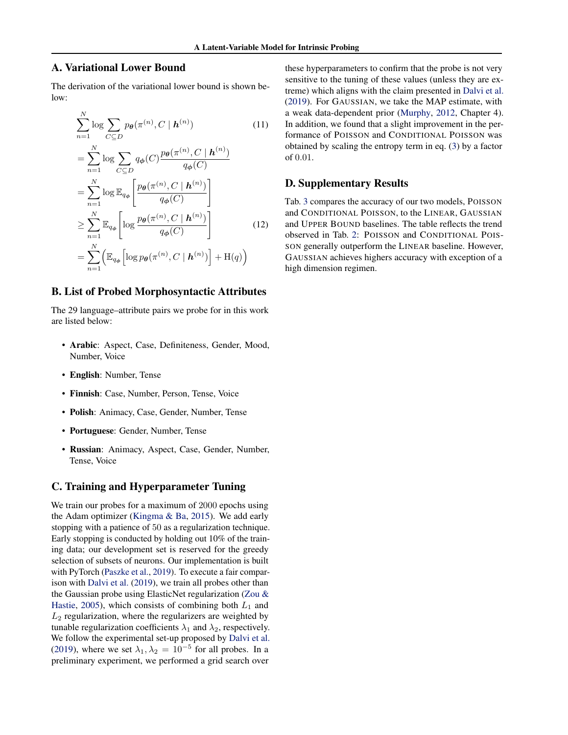# <span id="page-13-0"></span>A. Variational Lower Bound

The derivation of the variational lower bound is shown below:

$$
\sum_{n=1}^{N} \log \sum_{C \subseteq D} p_{\theta}(\pi^{(n)}, C \mid \boldsymbol{h}^{(n)})
$$
(11)  

$$
= \sum_{n=1}^{N} \log \sum_{C \subseteq D} q_{\phi}(C) \frac{p_{\theta}(\pi^{(n)}, C \mid \boldsymbol{h}^{(n)})}{q_{\phi}(C)}
$$
  

$$
= \sum_{n=1}^{N} \log \mathbb{E}_{q_{\phi}} \left[ \frac{p_{\theta}(\pi^{(n)}, C \mid \boldsymbol{h}^{(n)})}{q_{\phi}(C)} \right]
$$
  

$$
\geq \sum_{n=1}^{N} \mathbb{E}_{q_{\phi}} \left[ \log \frac{p_{\theta}(\pi^{(n)}, C \mid \boldsymbol{h}^{(n)})}{q_{\phi}(C)} \right]
$$
(12)  

$$
= \sum_{n=1}^{N} \left( \mathbb{E}_{q_{\phi}} \left[ \log p_{\theta}(\pi^{(n)}, C \mid \boldsymbol{h}^{(n)}) \right] + \mathcal{H}(q) \right)
$$

### B. List of Probed Morphosyntactic Attributes

The 29 language–attribute pairs we probe for in this work are listed below:

- Arabic: Aspect, Case, Definiteness, Gender, Mood, Number, Voice
- English: Number, Tense
- Finnish: Case, Number, Person, Tense, Voice
- Polish: Animacy, Case, Gender, Number, Tense
- Portuguese: Gender, Number, Tense
- Russian: Animacy, Aspect, Case, Gender, Number, Tense, Voice

### C. Training and Hyperparameter Tuning

We train our probes for a maximum of 2000 epochs using the Adam optimizer [\(Kingma & Ba,](#page-9-0) [2015\)](#page-9-0). We add early stopping with a patience of 50 as a regularization technique. Early stopping is conducted by holding out 10% of the training data; our development set is reserved for the greedy selection of subsets of neurons. Our implementation is built with PyTorch [\(Paszke et al.,](#page-11-0) [2019\)](#page-11-0). To execute a fair comparison with [Dalvi et al.](#page-8-0) [\(2019\)](#page-8-0), we train all probes other than the Gaussian probe using ElasticNet regularization [\(Zou &](#page-12-0) [Hastie,](#page-12-0) [2005\)](#page-12-0), which consists of combining both  $L_1$  and  $L_2$  regularization, where the regularizers are weighted by tunable regularization coefficients  $\lambda_1$  and  $\lambda_2$ , respectively. We follow the experimental set-up proposed by [Dalvi et al.](#page-8-0) [\(2019\)](#page-8-0), where we set  $\lambda_1, \lambda_2 = 10^{-5}$  for all probes. In a preliminary experiment, we performed a grid search over

these hyperparameters to confirm that the probe is not very sensitive to the tuning of these values (unless they are extreme) which aligns with the claim presented in [Dalvi et al.](#page-8-0) [\(2019\)](#page-8-0). For GAUSSIAN, we take the MAP estimate, with a weak data-dependent prior [\(Murphy,](#page-10-0) [2012,](#page-10-0) Chapter 4). In addition, we found that a slight improvement in the performance of POISSON and CONDITIONAL POISSON was obtained by scaling the entropy term in eq. [\(3\)](#page-2-0) by a factor of 0.01.

## D. Supplementary Results

Tab. [3](#page-14-0) compares the accuracy of our two models, POISSON and CONDITIONAL POISSON, to the LINEAR, GAUSSIAN and UPPER BOUND baselines. The table reflects the trend observed in Tab. [2:](#page-6-0) POISSON and CONDITIONAL POIS-SON generally outperform the LINEAR baseline. However, GAUSSIAN achieves highers accuracy with exception of a high dimension regimen.